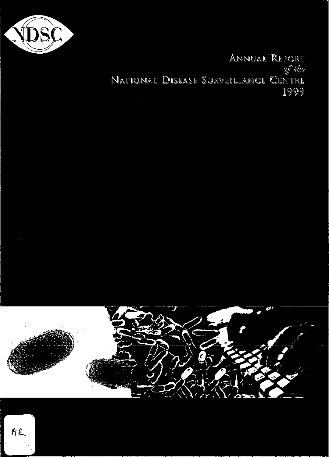

ANNUAL REPORT of the NATIONAL DISEASE SURVEILLANCE CENTRE 1999

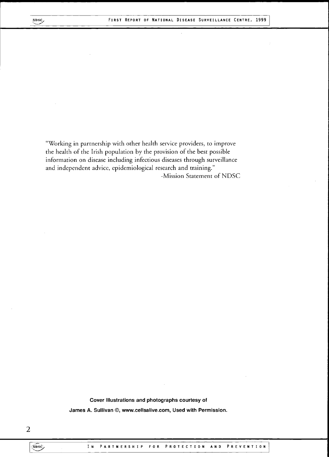$\mathcal{L}$ 

"Working in partnership with other health service providers, to improve the health of the Irish population by the provision of the best possible information on disease including infectious diseases through surveillance and independent advice, epidemiological research and training." -Mission Statement of NDSC

> Cover Illustrations and photographs courtesy of James A. Sullivan ©, [www.cellsalive.com,](http://www.cellsalive.com) Used with Permission.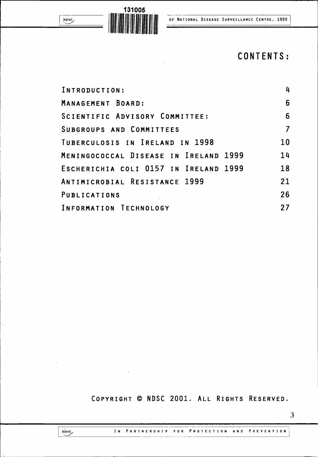

NDSC<sub>/</sub>

# **CONTENTS:**

| INTRODUCTION:                         | 4  |
|---------------------------------------|----|
| MANAGEMENT BOARD:                     | 6  |
| SCIENTIFIC ADVISORY COMMITTEE:        | 6  |
| SUBGROUPS AND COMMITTEES              |    |
| TUBERCULOSIS IN IRELAND IN 1998       | 10 |
| MENINGOCOCCAL DISEASE IN IRELAND 1999 | 14 |
| ESCHERICHIA COLI 0157 IN IRELAND 1999 | 18 |
| ANTIMICROBIAL RESISTANCE 1999         | 21 |
| PUBLICATIONS                          | 26 |
| INFORMATION TECHNOLOGY                | 27 |

COPYRIGHT © NDSC 2001. ALL RIGHTS RESERVED.

 $\hat{\mathcal{A}}$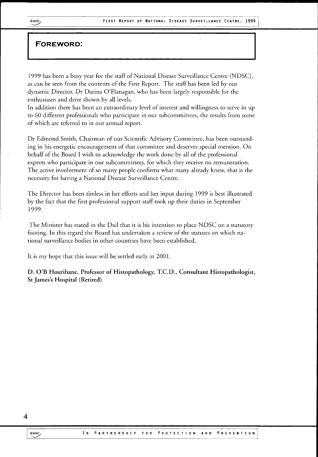## **FOREWORD:**

1999 has been a busy year for the staff of National Disease Surveillance Centre (NDSC), as can be seen from the contents of the First Report. The staff has been led by our dynamic Director, Dr Darina O'Flanagan, who has been largely responsible for the enthusiasm and drive shown by all levels.

In addition there has been an extraordinary level of interest and willingness to serve in up to 60 different professionals who participate in our subcommittees, the results from some of which are referred to in our annual report.

Dr Edmond Smith, Chairman of our Scientific Advisory Committee, has been outstanding in his energetic encouragement of that committee and deserves special mention. On behalf of the Board I wish to acknowledge the work done by all of the professional experts who participate in our subcommittees, for which they receive no remuneration. The active involvement of so many people confirms what many already knew, that is the necessity for having a National Disease Surveillance Centre.

The Director has been tireless in her efforts and her input during 1999 is best illustrated by the fact that the first professional support staff took up their duties in September 1999.

The Minister has stated in the Dail that it is his intention to place NDSC on a statutory footing. In this regard the Board has undertaken a review of the statutes on which national surveillance bodies in other countries have been established.

It is my hope that this issue will be settled early in 2001.

**D . O'B Hourihane, Professor of Histopathology, T.C.D., Consultant Histopathologist, St James's Hospital (Retired)**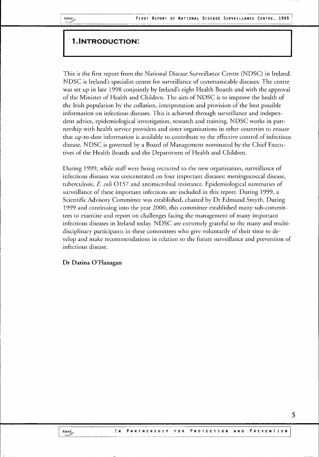### 1.INTRODUCTION:

This is the first report from the National Disease Surveillance Centre (NDSC) in Ireland. NDSC is Ireland's specialist centre for surveillance of communicable diseases. The centre was set up in late 1998 conjointly by Ireland's eight Health Boards and with the approval of the Minister of Health and Children. The aim of NDSC is to improve the health of the Irish population by the collation, interpretation and provision of the best possible information on infectious diseases. This is achieved through surveillance and independent advice, epidemiological investigation, research and training. NDSC works in partnership with health service providers and sister organisations in other countries to ensure that up-to-date information is available to contribute to the effective control of infectious disease. NDSC is governed by a Board of Management nominated by the Chief Executives of the Health Boards and the Department of Health and Children.

During 1999, while staff were being recruited to the new organisation, surveillance of infectious diseases was concentrated on four important diseases: meningococcal disease, tuberculosis, *E. coli*0157 and antimicrobial resistance. Epidemiological summaries of surveillance of these important infections are included in this report. During 1999, a Scientific Advisory Committee was established, chaired by Dr Edmund Smyth. During 1999 and continuing into the year 2000, this committee established many sub-committees to examine and report on challenges facing the management of many important infectious diseases in Ireland today. NDSC are extremely grateful to the many and multidisciplinary participants in these committees who give voluntarily of their time to develop and make recommendations in relation to the future surveillance and prevention of infectious disease.

#### **Dr Darina O'Flanagan**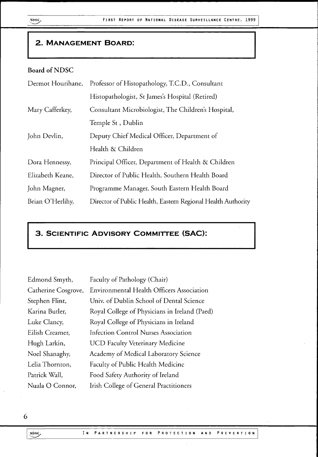## 2. MANAGEMENT BOARD:

## **Board** of **NDSC**

| Dermot Hourihane, | Professor of Histopathology, T.C.D., Consultant             |
|-------------------|-------------------------------------------------------------|
|                   | Histopathologist, St James's Hospital (Retired)             |
| Mary Cafferkey,   | Consultant Microbiologist, The Children's Hospital,         |
|                   | Temple St, Dublin                                           |
| John Devlin,      | Deputy Chief Medical Officer, Department of                 |
|                   | Health & Children                                           |
| Dora Hennessy,    | Principal Officer, Department of Health & Children          |
| Elizabeth Keane,  | Director of Public Health, Southern Health Board            |
| John Magner,      | Programme Manager, South Eastern Health Board               |
| Brian O'Herlihy,  | Director of Public Health, Eastern Regional Health Authorit |

## 3 . SCIENTIFIC ADVISORY COMMITTEE (SAC):

| Edmond Smyth,       | Faculty of Pathology (Chair)                  |
|---------------------|-----------------------------------------------|
| Catherine Cosgrove, | Environmental Health Officers Association     |
| Stephen Flint,      | Univ. of Dublin School of Dental Science      |
| Karina Butler,      | Royal College of Physicians in Ireland (Paed) |
| Luke Clancy,        | Royal College of Physicians in Ireland        |
| Eilish Creamer,     | <b>Infection Control Nurses Association</b>   |
| Hugh Larkin,        | <b>UCD Faculty Veterinary Medicine</b>        |
| Noel Shanaghy,      | Academy of Medical Laboratory Science         |
| Lelia Thornton,     | Faculty of Public Health Medicine             |
| Patrick Wall,       | Food Safety Authority of Ireland              |
| Nuala O Connor,     | Irish College of General Practitioners        |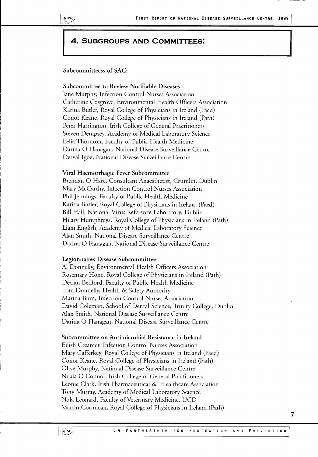## 4 . SUBGROUPS AND COMMITTEES:

**Subcommitteess of SAC:**

#### **Subcommittee to Review Notifiable Diseases**

Jane Murphy, Infection Control Nurses Association Catherine Cosgrove, Environmental Health Officers Association Karina Butler, Royal College of Physicians in Ireland (Paed) Conor Keane, Royal College of Physicians in Ireland (Path) Peter Harrington, Irish College of General Practitioners Steven Dempsey, Academy of Medical Laboratory Science Lelia Thornton, Faculty of Public Health Medicine Darina O Flanagan, National Disease Surveillance Centre Derval Igoe, National Disease Surveillance Centre

#### **Viral Haemorrhagic Fever Subcommittee**

Brendan O Hare, Consultant Anaesthetist, Crumlin, Dublin Mary McCarthy, Infection Control Nurses Association Phil Jennings, Faculty of Public Health Medicine Karina Butler, Royal College of Physicians in Ireland (Paed) Bill Hall, National Virus Reference Laboratory, Dublin Hilary Humphreys, Royal College of Physicians in Ireland (Path) Liam English, Academy of Medical Laboratory Science Alan Smith, National Disease Surveillance Centre Darina O Flanagan, National Disease Surveillance Centre

#### **Legionnaires Disease Subcommittee**

A1 Donnelly, Environmental Health Officers Association Rosemary Hone, Royal College of Physicians in Ireland (Path) Declan Bedford, Faculty of Public Health Medicine Tom Donnelly, Health & Safety Authority Marina Burd, Infection Control Nurses Association David Coleman, School of Dental Science, Trinity College, Dublin Alan Smith, National Disease Surveillance Centre Darina O Flanagan, National Disease Surveillance Centre

#### **Subcommittee on Antimicrobial Resistance in Ireland**

Eilish Creamer, Infection Control Nurses Association Mary Cafferkey, Royal College of Physicians in Ireland (Paed) Conor Keane, Royal College of Physicians in Ireland (Path) Olive Murphy, National Disease Surveillance Centre Nuala O Connor, Irish College of General Practitioners Leonie Clark, Irish Pharmaceutical & H ealthcare Association Tony Murray, Academy of Medical Laboratory Science Nola Leonard, Faculty of Veterinary Medicine, UCD Martin Cormican, Royal College of Physicians in Ireland (Path)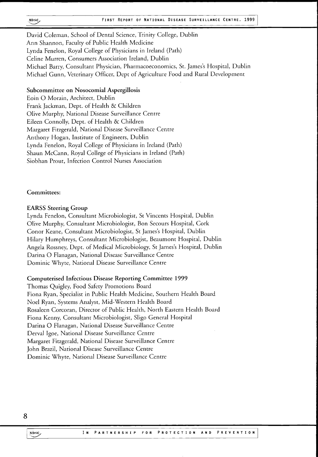David Coleman, School of Dental Science, Trinity College, Dublin Ann Shannon, Faculty of Public Health Medicine Lynda Fenelon, Royal College of Physicians in Ireland (Path) Celine Murren, Consumers Association Ireland, Dublin Michael Barry, Consultant Physician, Pharmacoeconomics, St. James's Hospital, Dublin Michael Gunn, Veterinary Officer, Dept of Agriculture Food and Rural Development

#### **Subcommittee on Nosocomial Aspergillosis**

Eoin O Morain, Architect, Dublin Frank Jackman, Dept. of Health & Children Olive Murphy, National Disease Surveillance Centre Eileen Connolly, Dept. of Health & Children Margaret Fitzgerald, National Disease Surveillance Centre Anthony Hogan, Institute of Engineers, Dublin Lynda Fenelon, Royal College of Physicians in Ireland (Path) Shaun McCann, Royal College of Physicians in Ireland (Path) Siobhan Prout, Infection Control Nurses Association

**Committees:** 

#### **EARSS Steering Group**

Lynda Fenelon, Consultant Microbiologist, St Vincents Hospital, Dublin Olive Murphy, Consultant Microbiologist, Bon Secours Hospital, Cork Conor Keane, Consultant Microbiologist, St James's Hospital, Dublin Hilary Humphreys, Consultant Microbiologist, Beaumont Hospital, Dublin Angela Rossney, Dept. of Medical Microbiology, St James's Hospital, Dublin Darina O Flanagan, National Disease Surveillance Centre Dominic Whyte, National Disease Surveillance Centre

#### **Computerised Infectious Disease Reporting Committee 1999**

Thomas Quigley, Food Safety Promotions Board Fiona Ryan, Specialist in Public Health Medicine, Southern Health Board Noel Ryan, Systems Analyst, Mid-Western Health Board Rosaleen Corcoran, Director of Public Health, North Eastern Health Board Fiona Kenny, Consultant Microbiologist, Sligo General Hospital Darina O Flanagan, National Disease Surveillance Centre Derval Igoe, National Disease Surveillance Centre Margaret Fitzgerald, National Disease Surveillance Centre John Brazil, National Disease Surveillance Centre Dominic Whyte, National Disease Surveillance Centre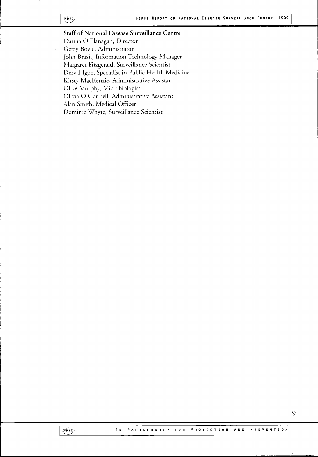#### NDSC<sub>2</sub>

**Staff of National Disease Surveillance Centre** Darina O Flanagan, Director Gerry Boyle, Administrator John Brazil, Information Technology Manager Margaret Fitzgerald, Surveillance Scientist Derval Igoe, Specialist in Public Health Medicine Kirsty MacKenzie, Administrative Assistant Olive Murphy, Microbiologist Olivia O Connell, Administrative Assistant Alan Smith, Medical Officer Dominic Whyte, Surveillance Scientist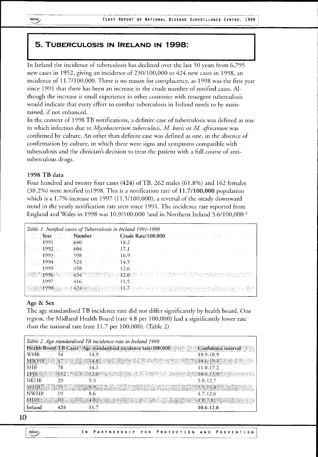## 5 . TUBERCULOSIS IN IRELAND IN 1998:

In Ireland the incidence of tuberculosis has declined over the last 50 years from 6,795 new cases in 1952, giving an incidence of 230/100,000 to 424 new cases in 1998, an incidence of 11.7/100,000. There is no reason for complacency, as 1998 was the first year since 1991 that there has been an increase in the crude number of notified cases. Although the increase is small experience in other countries with resurgent tuberculosis would indicate that every effort to combat tuberculosis in Ireland needs to be maintained, if not enhanced.

In the context of 1998 TB notifications, a definite case of tuberculosis was defined as one in which infection due to *Mycobacterium tuberculosis, M. bovis* or *M. africanum* was confirmed by culture. An other than definite case was defined as one, in the absence of confirmation by culture, in which there were signs and symptoms compatible with tuberculosis and the clinician's decision to treat the patient with a full course of antituberculous drugs.

#### **1998 T B data**

Four hundred and twenty four cases (424) of TB, 262 males (61.8%) and 162 females (38.2%) were notified inl998. This is a notification rate of 11.7**/100,000** population which is a 1.7% increase on 1997 (11.5/100,000), a reversal of the steady downward trend in the yearly notification rate seen since 1991. The incidence rate reported from England and Wales in 1998 was  $10.9/100,000$  <sup>1</sup>and in Northern Ireland 3.6/100,000 <sup>2</sup>

|        |       | Table 1. Notified cases of Tuberculosis in Ireland 1991-1998 |                                                                                                                      |
|--------|-------|--------------------------------------------------------------|----------------------------------------------------------------------------------------------------------------------|
|        |       |                                                              | <b>Example 2018</b> Number 2019 Crude Rate/100,000                                                                   |
| 1991 - | -640  | 18.2                                                         |                                                                                                                      |
|        |       |                                                              | . The $1992$ is the $604$ state, then $17.1$ and the set of the state of $\mathbb{R}^+$ and $\mathbb{R}^+$           |
| 1993.  | 598   | 16.9                                                         |                                                                                                                      |
|        |       |                                                              | 美国1994 周的 1524 美国印度中国4.5 The Team of the Contract of Apple District                                                  |
| 1995 — | - 458 | 12.6                                                         |                                                                                                                      |
|        |       |                                                              | 15. NIKO 1996. TAKAN 1943. NY HAOVAN'I NY TAONA 2008. NY KAODIM-PAOSITRA NY INSEE dia mpampiasa ny kaodim-paositra 4 |
|        |       |                                                              |                                                                                                                      |
|        |       |                                                              | 1998 - 1998 - 1998 - 1999 - 1999 - 1999 - 1999 - 1999 - 1999 - 1999 - 1999 - 1999 - 1999 - 1999 - 1999 - 1999        |

#### **Age & Sex**

The age standardised TB incidence rate did not differ significantly by health board. One region, the Midland Fiealth Board (rate 4.8 per 100,000) had a significantly lower rate than the national rate (rate 11.7 per 100,000). (Table 2)

|             |                                       |                                                                                    | Table 2. Age standardised TB incidence rate in Ireland 1998                                      |
|-------------|---------------------------------------|------------------------------------------------------------------------------------|--------------------------------------------------------------------------------------------------|
|             |                                       |                                                                                    | Health Board TB Cases Age standardised incidence rate/100,000<br>Confidence interval             |
| WHB         |                                       | 149                                                                                | 10.9-18.9                                                                                        |
|             |                                       |                                                                                    | $\text{WHB} = 474$ is the state $14.8$ and $37.8$ is the state of $14.8$<br>2.7777810.6191733330 |
| <b>SHB</b>  | 78                                    |                                                                                    | 11.0-17.2                                                                                        |
|             |                                       | EFB: Garrie: 152 : 152 : 153 12.0 : 12.0 : 12.13.13.2                              | $10.0 - 13.9$                                                                                    |
| <b>NEHB</b> | 29                                    | 9.3                                                                                | 5.8-12.7                                                                                         |
|             |                                       | $SEHB \gg 35$ , $\mathbb{R} \rightarrow 8.9$ , $\mathbb{R} \rightarrow \mathbb{R}$ | 1.8.7211.8.7212.7222                                                                             |
| <b>NWHB</b> | ۱۹                                    | 8.6                                                                                | 4.7-12.6                                                                                         |
|             | $\mathrm{MHB} = 34.810$ , and $4.811$ |                                                                                    | $= 1.8 - 7.8 - 5.1$                                                                              |
| Ireland     |                                       |                                                                                    | 10.6-12.8                                                                                        |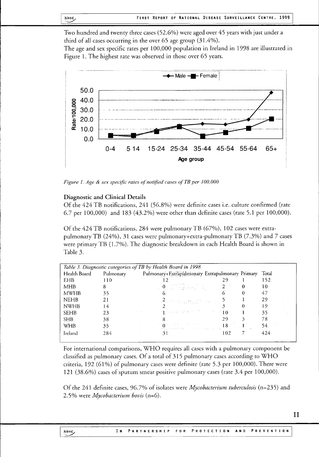Two hundred and twenty three cases (52.6%) were aged over 45 years with just under a third of all cases occurring in the over 65 age group (31.4%).

The age and sex specific rates per 100,000 population in Ireland in 1998 are illustrated in Figure 1. The highest rate was observed in those over 65 years.



*Figure 1. Age & sex specific rates of notified cases ofTB per 100,000*

#### **Diagnostic and Clinical Details**

Of the 424 TB notifications, 241 (56.8%) were definite cases i.e. culture confirmed (rate 6.7 per 100,000) and 183 (43.2%) were other than definite cases (rate 5.1 per 100,000).

Of the 424 TB notifications, 284 were pulmonary TB (67%), 102 cases were extrapulmonary TB (24%), 31 cases were pulmonary+extra-pulmonary TB (7.3%) and 7 cases were primary TB (1.7%). The diagnostic breakdown in each Health Board is shown in Table 3.

|              |           | Table 3. Diagnostic categories of TB by Health Board in 1998                                                                                                                  |     |       |
|--------------|-----------|-------------------------------------------------------------------------------------------------------------------------------------------------------------------------------|-----|-------|
| Health Board | Pulmonary | Pulmonary+Extrapulmonary Extrapulmonary Primary                                                                                                                               |     | Total |
| <b>EHB</b>   | 110       |                                                                                                                                                                               | 29  | 152   |
| <b>MHB</b>   | 8         | $\mathbf{0}=\mathbf{0}=\mathbf{0}$ , we have a set of $\mathbf{0}=\mathbf{0}$                                                                                                 |     | 10    |
| <b>MWHB</b>  | 35        |                                                                                                                                                                               |     | 47    |
| <b>NEHB</b>  | 21        | and $\mathcal{P}_\mathrm{B}$ and $\mathcal{P}_\mathrm{B}$ and $\mathcal{P}_\mathrm{B}$ and $\mathcal{P}_\mathrm{B}$ and $\mathcal{P}_\mathrm{B}$ and $\mathcal{P}_\mathrm{B}$ |     | 29    |
| <b>NWHB</b>  | 14        |                                                                                                                                                                               |     | 19    |
| <b>SEHB</b>  | 23        | $\mathbb{P}^1=\{1\}$ and the set of $\mathbb{P}^1$ is $\mathbb{P}^1$ . The set of $\mathbb{P}^1$ is a set of $\mathbb{P}^1$                                                   |     | 35    |
| <b>SHB</b>   | 38        |                                                                                                                                                                               | 29. | 78    |
| WHB          | $35_{1}$  |                                                                                                                                                                               |     | 54.   |
| Ireland      | 284       | 31                                                                                                                                                                            | 102 | 424   |

For international comparisons,WHO requires all cases with a pulmonary component be classified as pulmonary cases. Of a total of  $315$  pulmonary cases according to WHO criteria, 192 (61%) of pulmonary cases were definite (rate 5.3 per 100,000). There were 121 (38.6%) cases of sputum smear positive pulmonary cases (rate 3.4 per 100,000).

Of the 241 definite cases, 96.7% of isolates were *Mycobacterium tuberculosis* (n=235) and 2.5% were *Mycobacterium bovis* (n=6).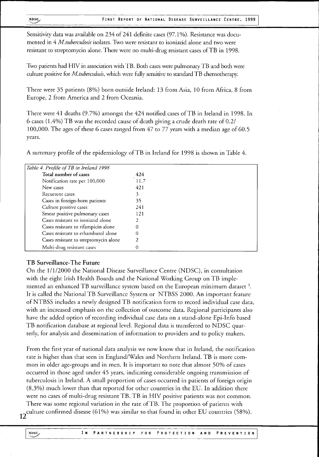Sensitivity data was available on 234 of 241 definite cases (97.1%). Resistance was documented in 4 *M. tuberculosis* isolates. Two were resistant to isoniazid alone and two were resistant to streptomycin alone. There were no multi-drug resistant cases ofTB in 1998.

Two patients had HIV in association with TB. Both cases were pulmonary TB and both were culture positive for *M. tuberculosis,* which were fully sensitive to standardT B chemotherapy.

There were 35 patients (8%) born outside Ireland: 13 from Asia, 10 from Africa, 8 from Europe, 2 from America and 2 from Oceania.

There were 41 deaths (9.7%) amongst the 424 notified cases of TB in Ireland in 1998. In 6 cases (1.4%)T B was the recorded cause of death giving a crude death rate of 0.2/ 100,000. The ages of these 6 cases ranged from 47 to 77 years with a median age of 60.5 years.

A summary profile of the epidemiology ofTB in Ireland for 1998 is shown in Table 4.

| Table 4. Profile of TB in Ireland 1998 |      |
|----------------------------------------|------|
| Total number of cases                  | 424  |
| Notification rate per 100,000          | 11.7 |
| New cases                              | 421  |
| Recurrent cases                        | 3    |
| Cases in foreign-born patients         | 35   |
| Culture positive cases                 | 241  |
| Smear positive pulmonary cases         | 121  |
| Cases resistant to isoniazid alone     |      |
| Cases resistant to rifampicin alone    | 0    |
| Cases resistant to ethambutol alone    | 0    |
| Cases resistant to streptomycin alone  | 2    |
| Multi-drug resistant cases             |      |

#### **TB Surveillance-The Future**

On the 1/1/2000 the National Disease Surveillance Centre (NDSC), in consultation with the eight Irish Health Boards and the National Working Group on TB implemented an enhanced TB surveillance system based on the European minimum dataset It is called the National TB Surveillance System or NTBSS 2000. An important feature of NTBSS includes a newly designedT B notification form to record individual case data, with an increased emphasis on the collection of outcome data. Regional participants also have the added option of recording individual case data on a stand-alone Epi-Info based TB notification database at regional level. Regional data is transferred to NDSC quarterly, for analysis and dissemination of information to providers and to policy makers.

From the first year of national data analysis we now know that in Ireland, the notification rate is higher than that seen in England/Wales and Northern Ireland. TB is more common in older age-groups and in men. It is important to note that almost 50% of cases occurred in those aged under 45 years, indicating considerable ongoing transmission of tuberculosis in Ireland. A small proportion of cases occurred in patients of foreign origin (8,3%) much lower than that reported for other countries in the EU. In addition there were no cases of multi-drug resistant TB. TB in HIV positive patients was not common.

There was some regional variation in the rate of TB. The proportion of patients with culture confirmed disease (61%) was similar to that found in other EU countries (58%).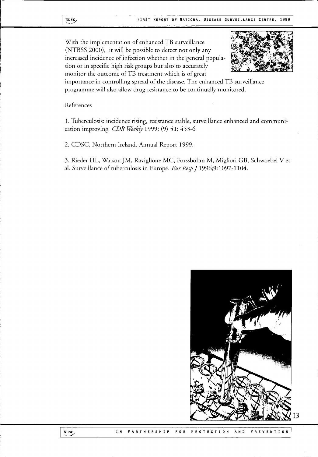With the implementation of enhanced TB surveillance (NTBSS 2000), it will be possible to detect not only any increased incidence of infection whether in the general population or in specific high risk groups but also to accurately monitor the outcome ofTB treatment which is of great



importance in controlling spread of the disease. The enhanced TB surveillance programme will also allow drug resistance to be continually monitored.

References

1. Tuberculosis: incidence rising, resistance stable, surveillance enhanced and communication improving. *CDR Weekly* 1999; (9) 51: 453-6

2. CDSC, Northern Ireland. Annual Report 1999.

3. Rieder HL, Watson JM, Raviglione MC, Forssbohm M, Migliori GB, Schwoebel V et al. Surveillance of tuberculosis in Europe. *Eur Resp J* 1996;9:1097-1104.



i **t** I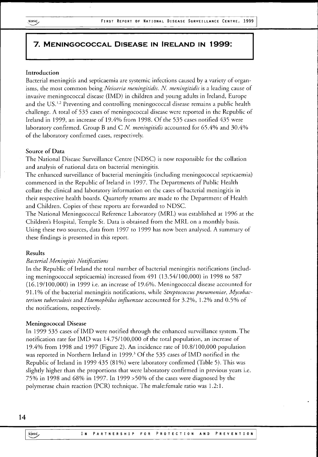## 7. MENINGOCOCCAL DISEASE IN IRELAND IN 1999:

#### **Introduction**

Bacterial meningitis and septicaemia are systemic infections caused by a variety of organisms, the most common being *Neisseria meningitidis. N. meningitidis* is a leading cause of invasive meningococcal disease (IMD) in children and young adults in Ireland, Europe and the US.<sup>1,2</sup> Preventing and controlling meningococcal disease remains a public health challenge. A total of 535 cases of meningococcal disease were reported in the Republic of Ireland in 1999, an increase of 19.4% from 1998. Of the 535 cases notified 435 were laboratory confirmed. Group B and C *N. meningitidis* accounted for 65.4% and 30.4% of the laboratory confirmed cases, respectively.

#### **Source of Data**

The National Disease Surveillance Centre (NDSC) is now responsible for the collation and analysis of national data on bacterial meningitis.

The enhanced surveillance of bacterial meningitis (including meningococcal septicaemia) commenced in the Republic of Ireland in 1997. The Departments of Public Health collate the clinical and laboratory information on the cases of bacterial meningitis in their respective health boards. Quarterly returns are made to the Department of Health and Children. Copies of these reports are forwarded to NDSC.

The National Meningococcal Reference Laboratory (MRL) was established at 1996 at the Children's Hospital, Temple St. Data is obtained from the MRL on a monthly basis. Using these two sources, data from 1997 to 1999 has now been analysed. A summary of these findings is presented in this report.

#### **Results**

#### *Bacterial Meningitis Notifications*

In the Republic of Ireland the total number of bacterial meningitis notifications (including meningococcal septicaemia) increased from 491 (13.54/100,000) in 1998 to 587 (16.19/100,000) in 1999 i.e. an increase of 19.6%. Meningococcal disease accounted for 91.1% of the bacterial meningitis notifications, while *Streptococcus pneumoniae, Mycobacterium tuberculosis* and *Haemophilus influenzae* accounted for 3.2%, 1.2% and 0.5% of the notifications, respectively.

#### **Meningococcal Disease**

In 1999 535 cases of IMD were notified through the enhanced surveillance system.The notification rate forIMD was 14.75/100,000 of the total population, an increase of 19.4% from 1998 and 1997 (Figure 2). An incidence rate of 10.8/100,000 population was reported in Northern Ireland in 1999.<sup>3</sup> Of the 535 cases of IMD notified in the Republic of Ireland in 1999 435 (81%) were laboratory confirmed (Table 5). This was slightly higher than the proportions that were laboratory confirmed in previous years i.e. 75% in 1998 and 68% in 1997. In 1999 >50% of the cases were diagnosed by the polymerase chain reaction (PCR) technique. The male:female ratio was 1.2:1.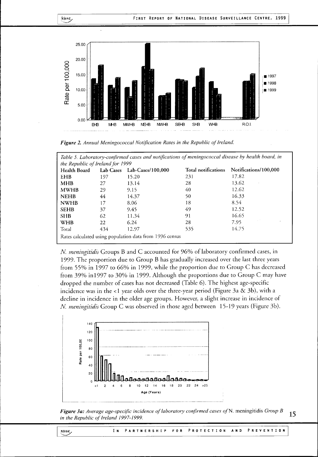

*Figure 2. AnnuaI Meningococcal Notification Rates in the Republic oj Ireland.*

| the Republic of Ireland for 1999 |     |                             |                            |                       |
|----------------------------------|-----|-----------------------------|----------------------------|-----------------------|
| Health Board                     |     | Lab Cases Lab-Cases/100,000 | <b>Total notifications</b> | Notifications/100,000 |
| <b>EHB</b>                       | 197 | 15.20                       | 231                        | 17.82                 |
| <b>MHB</b>                       | 27  | 13.14                       | 28                         | 13.62                 |
| <b>MWHB</b>                      | 29  | 9.15                        | 40                         | 12.62                 |
| <b>NEHB</b>                      | 44  | 14.37                       | 50                         | 16.33                 |
| <b>NWHB</b>                      | 17  | 8.06                        | 18                         | 8.54                  |
| <b>SEHB</b>                      | 37  | 9.45                        | 49                         | 12.52                 |
| <b>SHB</b>                       | 62  | 11.34                       | 91                         | 16.65                 |
| <b>WHB</b>                       | 22  | 6.24                        | 28                         | 7.95                  |
| Total                            | 434 | 12.97                       | 535                        | 14.75                 |

*N. meningitidis* Groups B and C accounted for 96% of laboratory confirmed cases, in 1999. The proportion due to Group B has gradually increased over the last three years from 55% in 1997 to 66% in 1999, while the proportion due to Group C has decreased from 39% in 1997 to 30% in 1999. Although the proportions due to Group C may have dropped the number of cases has not decreased (Table 6). The highest age-specific incidence was in the <1 year olds over the three-year period (Figure 3a & 3b), with a decline in incidence in the older age groups. However, a slight increase in incidence of *N. meningitidis* Group C was observed in those aged between 15-19 years (Figure 3b).



*Figure 3a: Average age-specific incidence of laboratory confirmed cases of* N. meningitidis *Group B . \_ in the Republic of Ireland 1997-1999.*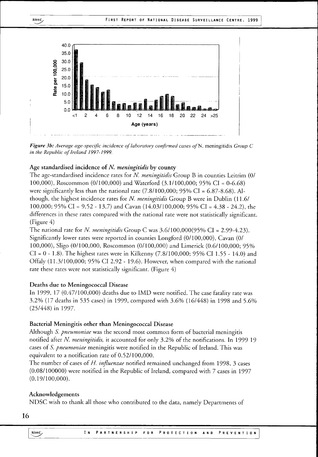

*Figure 3b: Average age-specific incidence of laboratory confirmed cases* o/N. meningitidis *Group C in the Republic of Ireland 1997-1999.*

#### **Age standardised incidence of** *N. meningitidis* **by county**

The age-standardised incidence rates for *N. meningitidis* Group B in counties Leitrim (0/ 100,000), Roscommon (0/100,000) and Waterford (3.1/100,000; 95% CI = 0-6.68) were significantly less than the national rate  $(7.8/100,000; 95\% \text{ CI} = 6.87-8.68)$ . Although, the highest incidence rates for *N. meningitidis* Group B were in Dublin (11.6/ 100,000; 95% CI = 9.52 - 13.7) and Cavan (14.03/100,000; 95% CI = 4.38 - 24.2), the differences in these rates compared with the national rate were not statistically significant. (Figure 4)

The national rate for *N. meningitidis* Group C was 3.6/100,000(95% CI = 2.99-4.23). Significantly lower rates were reported in counties Longford (0/100,000), Cavan (0/ 100,000), Sligo (0/100,000, Roscommon (0/100,000) and Limerick (0.6/100,000; 95%  $CI = 0 - 1.8$ ). The highest rates were in Kilkenny (7.8/100,000; 95% CI 1.55 - 14.0) and Offaly (11.3/100,000; 95% CI 2.92 - 19.6). However, when compared with the national rate these rates were not statistically significant. (Figure 4)

#### **Deaths due to Meningococcal Disease**

In 1999, 17 (0.47/100,000) deaths due to IMD were notified. The case fatality rate was 3.2% (17 deaths in 535 cases) in 1999, compared with 3.6% (16/448) in 1998 and 5.6% (25/448) in 1997.

#### **Bacterial Meningitis other than Meningococcal Disease**

Although *S. pneumoniae* was the second most common form of bacterial meningitis notified after *N. meningitidis,* it accounted for only 3.2% of the notifications. In 1999 19 cases of *S. pneumoniae* meningitis were notified in the Republic of Ireland. This was equivalent to a notification rate of 0.52/100,000.

The number of cases of *H. influence* notified remained unchanged from 1998, 3 cases (0.08/100000) were notified in the Republic of Ireland, compared with 7 cases in 1997 (0.19/100,000).

#### **Acknowledgements**

NDSC wish to thank all those who contributed to the data, namely Departments of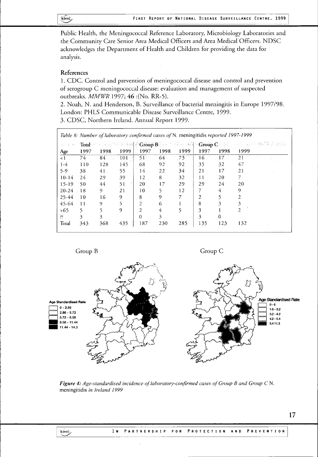\$JI8C> FIRST REPORT OF NATIONAL DISEASE SURVEILLANCE CENTRE. 1999

Public Health, the Meningococcal Reference Laboratory, Microbiology Laboratories and the Community Care Senior Area Medical Officers and Area Medical Officers. NDSC acknowledges the Department of Health and Children for providing the data for analysis.

#### **References**

1. CDC. Control and prevention of meningococcal disease and control and prevention of serogroup C meningococcal disease: evaluation and management of suspected outbreaks. *MMWR* 1997; 46 : (No. RR-5).

2. Noah, N. and Henderson, B. Surveillance of bacterial meningitis in Europe 1997/98. London: PHLS Communicable Disease Surveillance Centre, 1999. 3. CDSC, Northern Ireland. Annual Report 1999.

|      |       |      |                |      |                 |                                               |      |                                        | 医异体 医乳头 凝固率 经融                                                                      |
|------|-------|------|----------------|------|-----------------|-----------------------------------------------|------|----------------------------------------|-------------------------------------------------------------------------------------|
| 1997 | 1998  | 1999 | 1997           | 1998 | 1999            | 1997                                          | 1998 | 1999                                   |                                                                                     |
| 74.  | $84-$ | 104  | 51             | 64   | 73 <sup>°</sup> | 16                                            | 17   | 21                                     |                                                                                     |
| 110  | 128   | 145  | 68             | 92   | 92              | 35                                            | 32   | 47                                     |                                                                                     |
| 38   | 41    | 55   | 14             | 22   | 34              | 21                                            | 17   | 21                                     |                                                                                     |
| 24   | 29    | 39   | 12             | 8    | 32              | 11                                            | 20   |                                        |                                                                                     |
| 50   | 44    | 51   | 20             | 17   | 29              | 29                                            | 24   | 20                                     |                                                                                     |
| 18   | 9     | 21   | 10             |      | 12              |                                               | 4    | 9                                      |                                                                                     |
| 10   | 16    | 9    | 8              | 9    |                 | 2                                             |      | 2                                      |                                                                                     |
| 11   | 9     |      | $\overline{2}$ | 6    |                 | 8                                             | 3    | 3                                      |                                                                                     |
|      |       | 9    | 2              | 4    |                 | 3                                             |      | C.                                     |                                                                                     |
| 3    | 3     |      | $\Omega$       | 3    |                 | 3                                             | 0    |                                        |                                                                                     |
| 343  | 368   | 435  | 187            | 230  | 285             | 135                                           | 123  | 132                                    |                                                                                     |
|      |       |      | Sports.        |      |                 | Total with receptions and strong Boundary and |      | $\cdot$ Group $\mathbb{C}$ and $\cdot$ | Table 6: Number of laboratory confirmed cases of N. meningitidis reported 1997-1999 |

Group B Group C



*Figure 4: Age-standardised incidence of laboratory-confirmed cases of Group B and Group C* N. meningitidis *in Ireland 1999*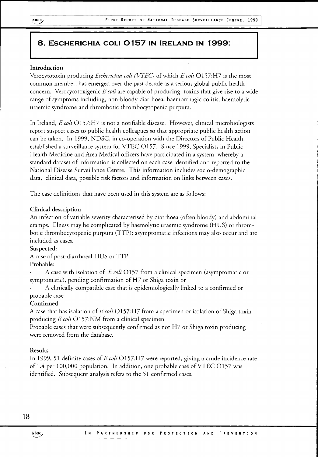## 8. ESCHERICHIA COLI 0157 IN IRELAND IN 1999:

### **Introduction**

Verocytotoxin producing *Escherichia coli (VTEC)* of which *E coli*Ol57:H7 is the most common member, has emerged over the past decade as a serious global public health concern. Verocytotoxigenic *E coli* are capable of producing toxins that give rise to a wide range of symptoms including, non-bloody diarrhoea, haemorrhagic colitis, haemolytic uraemic syndrome and thrombotic thrombocytopenic purpura.

In Ireland, *E coli*0157:H7 is not a notifiable disease. However, clinical microbiologists report suspect cases to public health colleagues so that appropriate public health action can be taken. In 1999, NDSC, in co-operation with the Directors of Public Health, established a surveillance system for VTEC 0157. Since 1999, Specialists in Public Health Medicine and Area Medical officers have participated in a system whereby a standard dataset of information is collected on each case identified and reported to the National Disease Surveillance Centre. This information includes socio-demographic data, clinical data, possible risk factors and information on links between cases.

The case definitions that have been used in this system are as follows:

#### **Clinical description**

An infection of variable severity characterised by diarrhoea (often bloody) and abdominal cramps. Illness may be complicated by haemolytic uraemic syndrome (HUS) or thrombotic thrombocytopenic purpura (TTP); asymptomatic infections may also occur and are included as cases.

#### **Suspected:**

A case of post-diarrhoeal HUS or TTP

#### **Probable:**

A case with isolation of *E coli*Ol57 from a clinical specimen (asymptomatic or symptomatic), pending confirmation of H7 or Shiga toxin or

A clinically compatible case that is epidemiologically linked to a confirmed or probable case

#### **Confirmed**

A case that has isolation of *E coli*Ol57:H7 from a specimen or isolation of Shiga toxinproducing *E coli* O157:NM from a clinical specimen

Probable cases that were subsequently confirmed as not  $H<sub>7</sub>$  or Shiga toxin producing were removed from the database.

#### **Results**

In 1999, 51 definite cases of *E coli*Ol57:H7 were reported, giving a crude incidence rate of 1.4 per 100,000 population. In addition, one probable case of VTEC O157 was identified. Subsequent analysis refers to the 51 confirmed cases.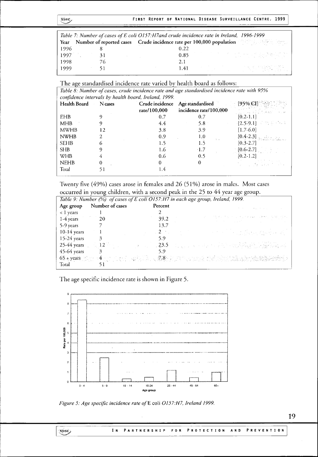|      |     | Table 7: Number of cases of E coli O157: H7 and crude incidence rate in Ireland, 1996-1999    |
|------|-----|-----------------------------------------------------------------------------------------------|
|      |     | Year Number of reported cases Crude incidence rate per 100,000 population and the state state |
| 1996 |     | 0.22                                                                                          |
| 1997 | -31 | 0.85                                                                                          |
| 1998 | 76  | 2.1                                                                                           |
| 1999 |     | 이 아이들은 아이들이 아이들이 사랑을 받았다. 이제 제작된다.<br>이 아이들은 아이들이 아이들이 아이들이 아니라 아이들이 아니라.<br>1.41             |

|  |  | The age standardised incidence rate varied by health board as follows: |  |  |  |
|--|--|------------------------------------------------------------------------|--|--|--|
|  |  |                                                                        |  |  |  |
|  |  |                                                                        |  |  |  |

| Health Board | N cases |              | Crude incidence Age standardised [95% CI] |                            |
|--------------|---------|--------------|-------------------------------------------|----------------------------|
|              |         | rate/100,000 | incidence rate/100,000                    | ill Rahit Bartha           |
| EHB          |         | 0.7          | 0.7                                       | $[0.2-1.1]$                |
| MHB          |         | 4.4          | $5.8 -$                                   | $-[2.5-9.1]$ and $[-1,-1]$ |
| <b>MWHB</b>  | 12      | 3.8          | 3.9                                       | $[1.7-6.0]$                |
| <b>NWHB</b>  |         | 0.9          | 1,0                                       | $[0.4-2.3]$                |
| <b>SEHB</b>  | 6       | 1.5          | 1.5                                       | $[0.3 - 2.7]$              |
| <b>SHB</b>   |         | 1.6          | $\cdot$ 1.7                               | $[0.6-2.7]$                |
| WHB          |         | 0.6          | 0.5                                       | $[0.2 - 1.2]$              |
| <b>NEHB</b>  | 0       | 0            | 0                                         |                            |
| Total        |         | 1.4          |                                           |                            |

Twenty five (49%) cases arose in females and 26 (51%) arose in males. Most cases occurred in young children, with a second peak in the 25 to 44 year age group.

| Table 9: Number (%) of cases of E coli O157:H7 in each age group, Ireland, 1999. |                  |                    |                                                                                                                                                                                                                                                                                                                                                                   |  |  |  |  |
|----------------------------------------------------------------------------------|------------------|--------------------|-------------------------------------------------------------------------------------------------------------------------------------------------------------------------------------------------------------------------------------------------------------------------------------------------------------------------------------------------------------------|--|--|--|--|
| Age group                                                                        | Number of cases  | Percent            |                                                                                                                                                                                                                                                                                                                                                                   |  |  |  |  |
| < 1 years                                                                        |                  |                    |                                                                                                                                                                                                                                                                                                                                                                   |  |  |  |  |
| 1-4 years                                                                        | 20               | 39.2               | 的复数人名英格兰人姓氏卡尔的变体 医单元 医单元 医心包 化硫酸盐 化乙基苯<br>나는 아이는 그 사람이 아니라 나는 사람이 아니라 나라                                                                                                                                                                                                                                                                                          |  |  |  |  |
| 5-9 years                                                                        |                  | 13.7               |                                                                                                                                                                                                                                                                                                                                                                   |  |  |  |  |
| $10-14$ years                                                                    |                  | $\sim$ 2 $\sim$ .  |                                                                                                                                                                                                                                                                                                                                                                   |  |  |  |  |
| $15-24$ years                                                                    |                  | 5.9                |                                                                                                                                                                                                                                                                                                                                                                   |  |  |  |  |
| $25-44$ years                                                                    | $\sim$ 12 $\sim$ | $\frac{1}{2}$ 23.5 |                                                                                                                                                                                                                                                                                                                                                                   |  |  |  |  |
| $45-64$ years                                                                    |                  |                    |                                                                                                                                                                                                                                                                                                                                                                   |  |  |  |  |
|                                                                                  |                  |                    | $65$ + years $\mathbb{M}_{\mathbb{R}}$ + $4$ $\mathbb{N}_{\mathbb{R}}$ + $\mathbb{N}_{\mathbb{R}}$ + $\mathbb{Z}_3$ 8 + $\mathbb{N}_{\mathbb{R}}$ + $\mathbb{N}_{\mathbb{R}}$ , $\mathbb{N}_{\mathbb{R}}$ , $\mathbb{N}_{\mathbb{R}}$ , $\mathbb{N}_{\mathbb{R}}$ , $\mathbb{N}_{\mathbb{R}}$ , $\mathbb{N}_{\mathbb{R}}$ , $\mathbb{N}_{\mathbb{R}}$ , $\mathbb$ |  |  |  |  |
| Total                                                                            |                  |                    |                                                                                                                                                                                                                                                                                                                                                                   |  |  |  |  |

The age specific incidence rate is shown in Figure 5.



*Figure 5: Age specific incidence rate ofE* coli *0157.H7, Ireland 1999.*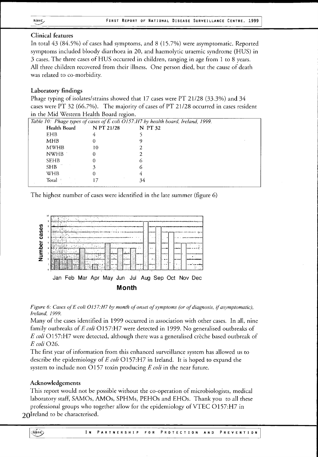## **Clinical features**

In total 43 (84.5%) of cases had symptoms, and 8 (15.7%) were asymptomatic. Reported symptoms included bloody diarrhoea in 20, and haemolytic uraemic syndrome (HUS) in 3 cases. The three cases of HUS occurred in children, ranging in age from 1 to 8 years. All three children recovered from their illness. One person died, but the cause of death was related to co-morbidity.

## **Laboratory findings**

Phage typing of isolates/strains showed that 17 cases were  $PT$  21/28 (33.3%) and 34 cases were PT 32 (66.7%). The majority of cases of PT 21/28 occurred in cases resident in the Mid Western Health Board region.

|                  | ັ          | Table 10: Phage types of cases of E coli O157:H7 by health board, Ireland, 1999. |  |
|------------------|------------|----------------------------------------------------------------------------------|--|
| Health Board     | N PT 21/28 | N PT 32                                                                          |  |
| <b>EHB</b>       | 4          |                                                                                  |  |
| MHB              |            |                                                                                  |  |
| <b>MWHB</b>      | 10         |                                                                                  |  |
| <b>NWHB</b>      |            |                                                                                  |  |
| <b>SEHB</b>      |            |                                                                                  |  |
| SHB <sup>-</sup> |            |                                                                                  |  |
| <b>WHB</b>       |            |                                                                                  |  |
| Total            |            | 34                                                                               |  |

The highest number of cases were identified in the late summer (figure 6)



Figure 6: Cases of E coli O157:H7 by month of onset of symptoms (or of diagnosis, if asymptomatic), *Ireland, 1999.*

Many of the cases identified in 1999 occurred in association with other cases. In all, nine family outbreaks of *E coli* O157:H7 were detected in 1999. No generalised outbreaks of *E coli* O157:H7 were detected, although there was a generalised crèche based outbreak of *E coli*026.

The first year of information from this enhanced surveillance system has allowed us to describe the epidemiology of *E coli*0157:H7 in Ireland. It is hoped to expand the system to include non Ol57 toxin producing *E coli* in the near future.

## **Acknowledgements**

This report would not be possible without the co-operation of microbiologists, medical laboratory staff, SAMOs, AMOs, SPHMs, PEHOs and EHOs. Thank you to all these professional groups who together allow for the epidemiology of VTEC 0157:H7 in 20I reland to be characterised.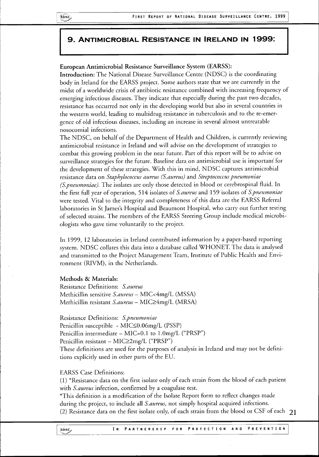# 9 . ANTIMICROBIAL RESISTANCE IN IRELAND IN 1999:

## **European Antimicrobial Resistance Surveillance System (EARSS):**

**Introduction:**The National Disease Surveillance Centre (NDSC) is the coordinating body in Ireland for the EARSS project. Some authors state that we are currently in the midst of a worldwide crisis of antibiotic resistance combined with increasing frequency of emerging infectious diseases. They indicate that especially during the past two decades, resistance has occurred not only in the developing world but also in several countries in the western world, leading to multidrug resistance in tuberculosis and to the re-emergence of old infectious diseases, including an increase in several almost untreatable nosocomial infections.

The NDSC, on behalf of the Department of Health and Children, is currently reviewing antimicrobial resistance in Ireland and will advise on the development of strategies to combat this growing problem in the near future. Part of this report will be to advise on surveillance strategies for the future. Baseline data on antimicrobial use is important for the development of these strategies. With this in mind, NDSC captures antimicrobial resistance data on *Staphylococcus aureus (S. aureus)* and *Streptococcus pneumoniae (Spneumoniae).* The isolates are only those detected in blood or cerebrospinal fluid. In the first full year of operation, 514 isolates of *S.aureus* and 159 isolates of *Spneumoniae* were tested. Vital to the integrity and completeness of this data are the EARSS Referral laboratories in St James's Hospital and Beaumont Hospital, who carry out further testing of selected strains. The members of the EARSS Steering Group include medical microbiologists who gave time voluntarily to the project.

In 1999, 12 laboratories in Ireland contributed information by a paper-based reporting system. NDSC collates this data into a database called WHONET. The data is analysed and transmitted to the Project Management Team, Institute of Public Health and Environment (RIVM), in the Netherlands.

## **Methods & Materials:**

Resistance Definitions: *S.aureus* Methicillin sensitive *S.aureus* — MIC<4mg/L (MSSA) Methicillin resistant *S.aureus* - MIC>4mg/L (MRSA)

Resistance Definitions: *Spneumoniae* Penicillin susceptible - MIC≤0.06mg/L (PSSP) Penicillin intermediate - MIC=0.1 to 1.0mg/L ("PRSP") Penicillin resistant – MIC≥2mg/L ("PRSP") These definitions are used for the purposes of analysis in Ireland and may not be definitions explicitly used in other parts of the EU.

EARSS Case Definitions:

(1) \*Resistance data on the first isolate only of each strain from the blood of each patient with *S.aureus* infection, confirmed by a coagulase test.

\*This definition is a modification of the Isolate Report form to reflect changes made during the project, to include all *S. aureus,* not simply hospital acquired infections. (2) Resistance data on the first isolate only, of each strain from the blood or CSF of each  $21$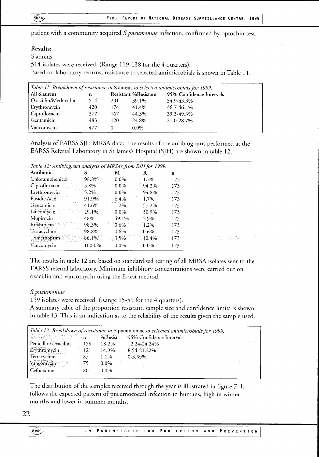patient with a community acquired *S.pneumoniae* infection, confirmed by optochin test.

## **Results:**

S.aureus

514 isolates were received, (Range 119-138 for the 4 quarters).

Based on laboratory returns, resistance to selected antimicrobials is shown in Table 11.

| Table 11: Breakdown of resistance in S.aureus to selected antimicrobials for 1999. |     |     |                             |                          |  |  |  |
|------------------------------------------------------------------------------------|-----|-----|-----------------------------|--------------------------|--|--|--|
| All S. aureus                                                                      | n   |     | <b>Resistant %Resistant</b> | 95% Confidence Intervals |  |  |  |
| Oxacillin/Methicillin                                                              | 514 | 201 | 39.1%                       | 34.9-43.3%               |  |  |  |
| Erythromycin                                                                       | 420 | 174 | 41.4%                       | 36.7-46.1%               |  |  |  |
| Ciprofloxacin                                                                      | 377 | 167 | 44.3%                       | 39.3-49.3%               |  |  |  |
| Gentamicin                                                                         | 483 | 120 | 24.8%                       | 21.0-28.7%               |  |  |  |
| Vancomycin                                                                         | 477 | 0   | $0.0\%$                     |                          |  |  |  |

Analysis of EARSS SJH MRSA data: The results of the antibiograms performed at the EARSS Referral Laboratory in St James's Hospital (SJH) are shown in table 12.

| Table 12: Antibiogram analysis of MRSAs from SJH for 1999. |          |         |           |     |                                    |  |  |
|------------------------------------------------------------|----------|---------|-----------|-----|------------------------------------|--|--|
| <b>Antibiotic</b>                                          |          | M       | К         | n   |                                    |  |  |
| Chloramphenicol                                            | 98.8%    | $0.0\%$ | 1.2%      | 173 |                                    |  |  |
| Ciprofloxacin                                              | 5.8%     | $0.0\%$ | 94.2%     | 173 |                                    |  |  |
| Erythromycin                                               | 5.2%     | $0.0\%$ | 94.8%     | 173 |                                    |  |  |
| Fusidic Acid                                               | 91.9%    | 6.4%    | $1.7\%$   | 173 |                                    |  |  |
| Gentamicin                                                 | 41.6%    | 1.2%    | 57.2%     | 173 |                                    |  |  |
| Lincomycin                                                 | 49.1%    | $0.0\%$ | 50.9%     | 173 |                                    |  |  |
| Mupirocin                                                  | 48%      | 49.1%   | 2.9%      | 175 |                                    |  |  |
| Rifampicin                                                 | 98.3%    | $0.6\%$ | 1.2%      | 173 |                                    |  |  |
| Tetracycline                                               | 98.8%    | $0.6\%$ | $0.6\%$   | 173 |                                    |  |  |
| Trimethoprim                                               | $86.1\%$ | $3.5\%$ | $-10.4\%$ | 173 | 어머니는 이 사람이 있습니다.<br>기대 시대 시대 시대 시대 |  |  |
| Vancomycin                                                 | 100.0%   | $0.0\%$ | $0.0\%$   | 173 |                                    |  |  |

The results in table 12 are based on standardised testing of all MRSA isolates sent to the EARSS referral laboratory. Minimum inhibitory concentrations were carried out on oxacillin and vancomycin using the E-test method.

## *S.pneumoniae*

159 isolates were received, (Range 15-59 for the 4 quarters).

A summary table of the proportion resistant, sample size and confidence limits is shown in table 13. This is an indication as to the reliability of the results given the sample used.

|                                 |       |          | Table 13: Breakdown of resistance in S.pneumoniae to selected antimicrobials for 1999. |  |  |
|---------------------------------|-------|----------|----------------------------------------------------------------------------------------|--|--|
|                                 |       |          | <b>SELENS SERVICE TO ALCOHOL DESIGN 95% Confidence Intervals</b><br>アンカー エンガー こんこうめい   |  |  |
| Penicillin/Oxacillin            | - 159 | 18.2%    | 12.24-24.24%                                                                           |  |  |
| Erythromycin 121                |       | $14.9\%$ | 8.54-21.22%                                                                            |  |  |
| Tetracycline<br>87              |       | $1.1\%$  | $0 - 3.39\%$                                                                           |  |  |
| Vancomycin <sup>3</sup> 75 0.0% |       |          |                                                                                        |  |  |
| Cefotaxime                      | 80    | $0.0\%$  |                                                                                        |  |  |

The distribution of the samples received through the year is illustrated in figure 7. It follows the expected pattern of pneumococcal infection in humans, high in winter months and lower in summer months.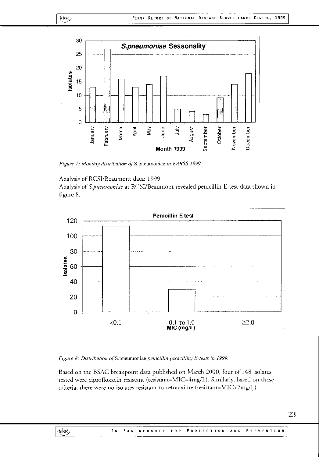

*Figure* 7: *Monthly distribution of S.pneumoniae in EARSS 1999.* 

#### Analysis of RCSI/Beaumont data: 1999

NDSC,

Analysis of *S.pneumoniae* at RCSI/Beaumont revealed penicillin E-test data shown in figure 8.



*Figure 8: Distribution of* S.pneumoniae *penicillin (oxacillin) E-tests in 1999.*

Based on the BSAC breakpoint data published on March 2000, four of 148 isolates tested were ciprofloxacin resistant (resistant=MIC=4mg/L). Similarly, based on these criteria, there were no isolates resistant to cefotaxime (resistant=MIC>2mg/L).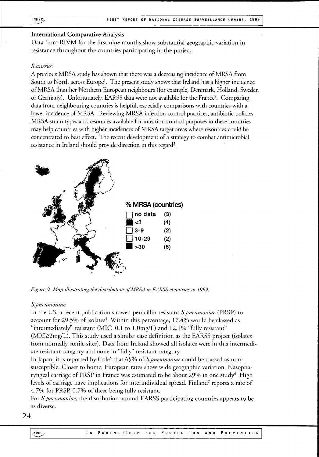### **International Comparative Analysis**

Data from RIVM for the first nine months show substantial geographic variation in resistance throughout the countries participating in the project.

### *S.aureus:*

A previous MRSA study has shown that there was a decreasing incidence of MRSA from South to North across Europe<sup>1</sup>. The present study shows that Ireland has a higher incidenc of MRSA than her Northern European neighbours (for example, Denmark, Holland, Sweden or Germany). Unfortunately, EARSS data were not available for the France<sup>2</sup>. Comparing data from neighbouring countries is helpful, especially comparisons with countries with a lower incidence of MRSA. Reviewing MRSA infection control practices, antibiotic policies, MRSA strain types and resources available for infection control purposes in these countries may help countries with higher incidences of MRSA target areas where resources could be concentrated to best effect. The recent development of a strategy to combat antimicrobial resistance in Ireland should provide direction in this regard<sup>3</sup>.



*Figure 9: Map illustrating the distribution of MRSA in EARSS countries in 1999.*

#### *S.pneumoniae*

In the US, a recent publication showed penicillin resistant *S.pneumoniae* (PRSP) to account for 29.5% of isolates $\mathrm{^4}.$  Within this percentage, 17.4% would be classed a "intermediately" resistant ( $MIC=0.1$  to  $1.0 \text{mg/L}$ ) and  $12.1\%$  "fully resistant"  $(MIC22mg/L)$ . This study used a similar case definition as the EARSS project (isolates from normally sterile sites). Data from Ireland showed all isolates were in this intermediate resistant category and none in "fully" resistant category.

In Japan, it is reported by Cole<sup>5</sup> that 65% of *S.pneumoniae* could be classed as nor susceptible. Closer to home, European rates show wide geographic variation. Nasopharyngeal carriage of PRSP in France was estimated to be about 29% in one study<sup>6</sup>. Hig levels of carriage have implications for interindividual spread. Finland' reports a rate of 4.7% for PRSP, 0.7% of these being fully resistant.

For *S.pneumoniae,* the distribution around EARSS participating countries appears to be as diverse.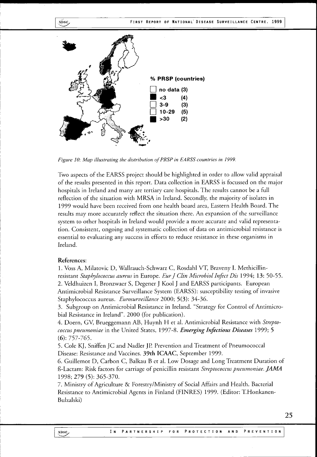



*Figure 10: Map illustrating the distribution of PRSP in EARSS countries in 1999.*

Two aspects of the EARSS project should be highlighted in order to allow valid appraisal of the results presented in this report. Data collection in EARSS is focussed on the major hospitals in Ireland and many are tertiary care hospitals. The results cannot be a full reflection of the situation with MRSA in Ireland. Secondly, the majority of isolates in 1999 would have been received from one health board area, Eastern Health Board. The results may more accurately reflect the situation there. An expansion of the surveillance system to other hospitals in Ireland would provide a more accurate and valid representation. Consistent, ongoing and systematic collection of data on antimicrobial resistance is essential to evaluating any success in efforts to reduce resistance in these organisms in Ireland.

#### **References:**

1. Voss A, Milatovic D, Wallrauch-Schwarz C, Rosdahl VT, Braveny I. Methicillinresistant *Staphylococcus aureus* in Europe. *Eur J Clin Microbiol Infect Dis* 1994; **13:** 50-55. 2. Veldhuizen I, Bronzwaer S, Degener J Kool J and EARSS participants. European Antimicrobial Resistance Surveillance System (EARSS): susceptibility testing of invasive Staphylococcus aureus. *Eurosurveillance* 2000; 5(3): 34-36.

3. Subgroup on Antimicrobial Resistance in Ireland. "Strategy for Control of Antimicrobial Resistance in Ireland". 2000 (for publication).

4. Doern, GV, Brueggemann AB, Huynh H et al. Antimicrobial Resistance with *Streptococcus pneumoniae* in the United States, 1997-8. *Emerging Infectious Diseases* 1999; 5  $(6): 757 - 765.$ 

5. Cole KJ, Sniffen JC and Nadler JP. Prevention and Treatment of Pneumococcal Disease: Resistance and Vaccines. **39th ICAAC,** September 1999.

6. Guillemot D, Carbon C, Balkau B et al. Low Dosage and Long Treatment Duration of 13-Lactam: Risk factors for carriage of penicillin resistant *Streptococcus pneumoniae. JAMA* 1998; 279 (5): 365-370.

7. Ministry of Agriculture & Forestry/Ministry of Social Affairs and Health. Bacterial Resistance to Antimicrobial Agents in Finland (FINRES) 1999. (Editor: T.Honkanen-Bulzalski)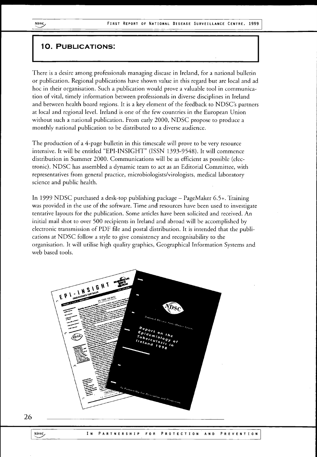### 10. PUBLICATIONS:

There is a desire among professionals managing disease in Ireland, for a national bulletin or publication. Regional publications have shown value in this regard but are local and ad hoc in their organisation. Such a publication would prove a valuable tool in communication of vital, timely information between professionals in diverse disciplines in Ireland and between health board regions. It is a key element of the feedback to NDSC's partners at local and regional level. Ireland is one of the few countries in the European Union without such a national publication. From early 2000, NDSC propose to produce a monthly national publication to be distributed to a diverse audience.

The production of a 4-page bulletin in this timescale will prove to be very resource intensive. It will be entitled "EPI-INSIGHT" (ISSN 1393-9548). It will commence distribution in Summer 2000. Communications will be as efficient as possible (electronic). NDSC has assembled a dynamic team to act as an Editorial Committee, with representatives from general practice, microbiologists/virologists, medical laboratory science and public health.

In 1999 NDSC purchased a desk-top publishing package - PageMaker 6.5+. Training was provided in the use of the software.Time and resources have been used to investigate tentative layouts for the publication. Some articles have been solicited and received. An initial mail shot to over 500 recipients in Ireland and abroad will be accomplished by electronic transmission of PDF file and postal distribution. It is intended that the publications at NDSC follow a style to give consistency and recognisability to the organisation. It will utilise high quality graphics, Geographical Information Systems and web based tools.



26

NDSC<sub>,</sub>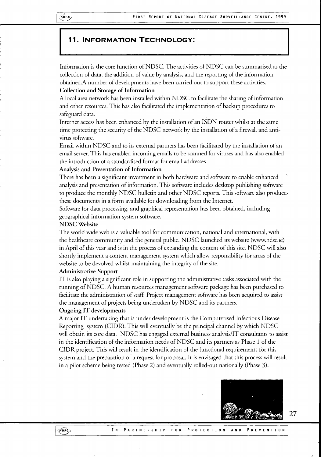## 11. INFORMATION TECHNOLOGY:

Information is the core function of NDSC. The activities of NDSC can be summarised as the collection of data, the addition of value by analysis, and the reporting of the information obtained.A number of developments have been carried out to support these activities.

#### **Collection and Storage of Information**

A local area network has been installed within NDSC to facilitate the sharing of information and other resources. This has also facilitated the implementation of backup procedures to safeguard data.

Internet access has been enhanced by the installation of an ISDN router whilst at the same time protecting the security of the NDSC network by the installation of a firewall and antivirus software.

Email within NDSC and to its external partners has been facilitated by the installation of an email server. This has enabled incoming emails to be scanned for viruses and has also enabled the introduction of a standardised format for email addresses.

#### **Analysis and Presentation of Information**

There has been a significant investment in both hardware and software to enable enhanced analysis and presentation of information. This software includes desktop publishing software to produce the monthly NDSC bulletin and other NDSC reports. This software also produces these documents in a form available for downloading from the Internet.

Software for data processing, and graphical representation has been obtained, including geographical information system software.

#### **NDSC Website**

The world wide web is a valuable tool for communication, national and international, with the healthcare community and the general public. NDSC launched its website ([www.ndsc.ie\)](http://www.ndsc.ie) in April of this year and is in the process of expanding the content of this site. NDSC will also shortly implement a content management system which allow responsibility for areas of the website to be devolved whilst maintaining the integrity of the site.

#### **Administrative Support**

I T is also playing a significant role in supporting the administrative tasks associated with the running of NDSC. A human resources management software package has been purchased to facilitate the administration of staff. Project management software has been acquired to assist the management of projects being undertaken by NDSC and its partners.

#### **Ongoing IT developments**

A major IT undertaking that is under development is the Computerised Infectious Disease Reporting system (CIDR). This will eventually be the principal channel by which NDSC will obtain its core data. NDSC has engaged external business analysis/IT consultants to assist in the identification of the information needs of NDSC and its partners as Phase 1 of the CIDR project.This will result in the identification of the functional requirements for this system and the preparation of a request for proposal. It is envisaged that this process will result in a pilot scheme being tested (Phase 2) and eventually rolled-out nationally (Phase 3).